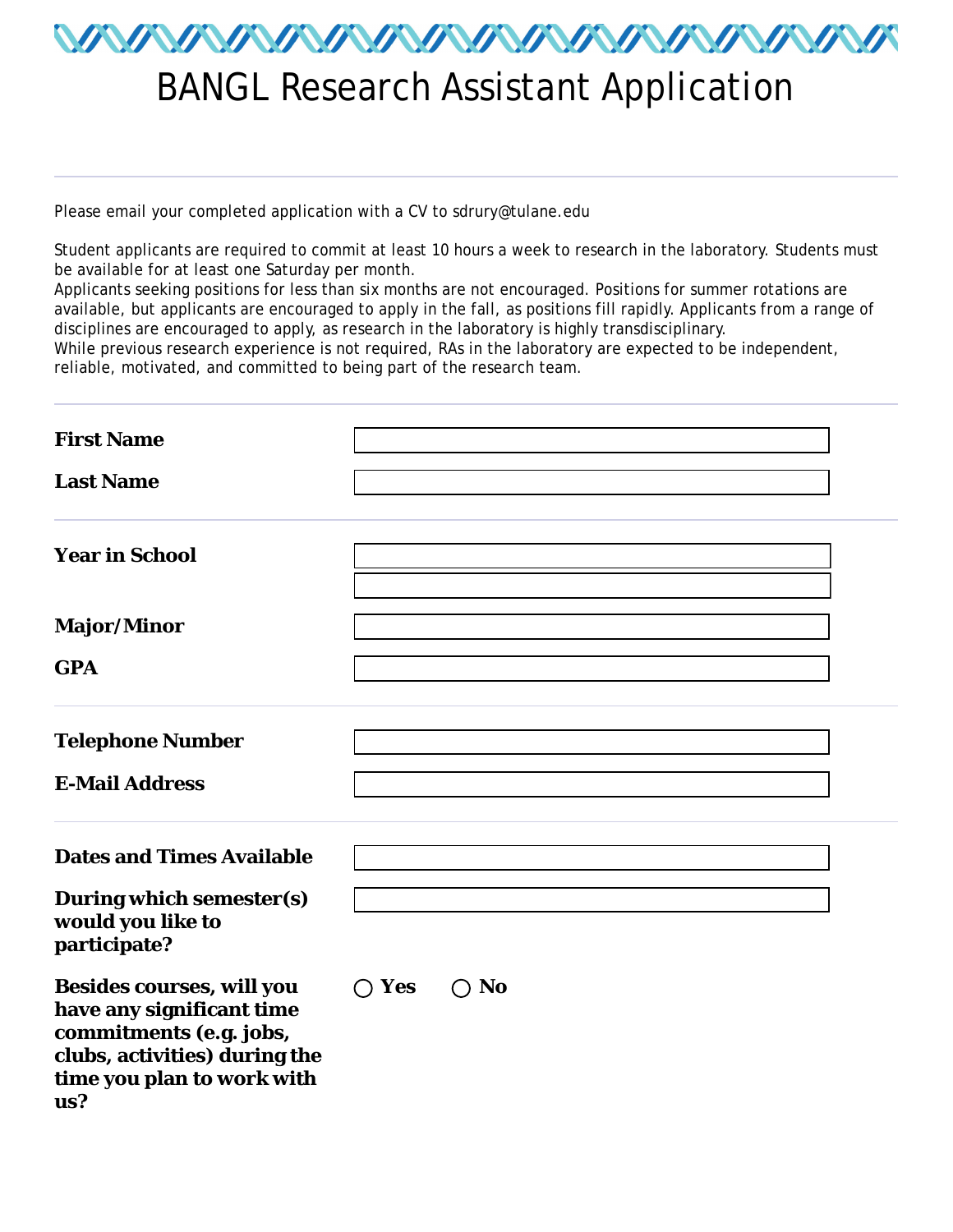

## BANGL Research Assistant Application

Please email your completed application with a CV to sdrury@tulane.edu

Student applicants are required to commit at least 10 hours a week to research in the laboratory. Students must be available for at least one Saturday per month.

Applicants seeking positions for less than six months are not encouraged. Positions for summer rotations are available, but applicants are encouraged to apply in the fall, as positions fill rapidly. Applicants from a range of disciplines are encouraged to apply, as research in the laboratory is highly transdisciplinary.

While previous research experience is not required, RAs in the laboratory are expected to be independent, reliable, motivated, and committed to being part of the research team.

| <b>First Name</b>                                                                                                                                              |                         |
|----------------------------------------------------------------------------------------------------------------------------------------------------------------|-------------------------|
| <b>Last Name</b>                                                                                                                                               |                         |
| <b>Year in School</b>                                                                                                                                          | $\blacktriangledown$    |
| <b>Major/Minor</b><br><b>GPA</b>                                                                                                                               |                         |
| <b>Telephone Number</b><br><b>E-Mail Address</b>                                                                                                               |                         |
| <b>Dates and Times Available</b>                                                                                                                               |                         |
| <b>During which semester(s)</b><br>would you like to<br>participate?                                                                                           |                         |
| <b>Besides courses, will you</b><br>have any significant time<br>commitments (e.g. jobs,<br>clubs, activities) during the<br>time you plan to work with<br>us? | Yes<br><b>No</b><br>( ) |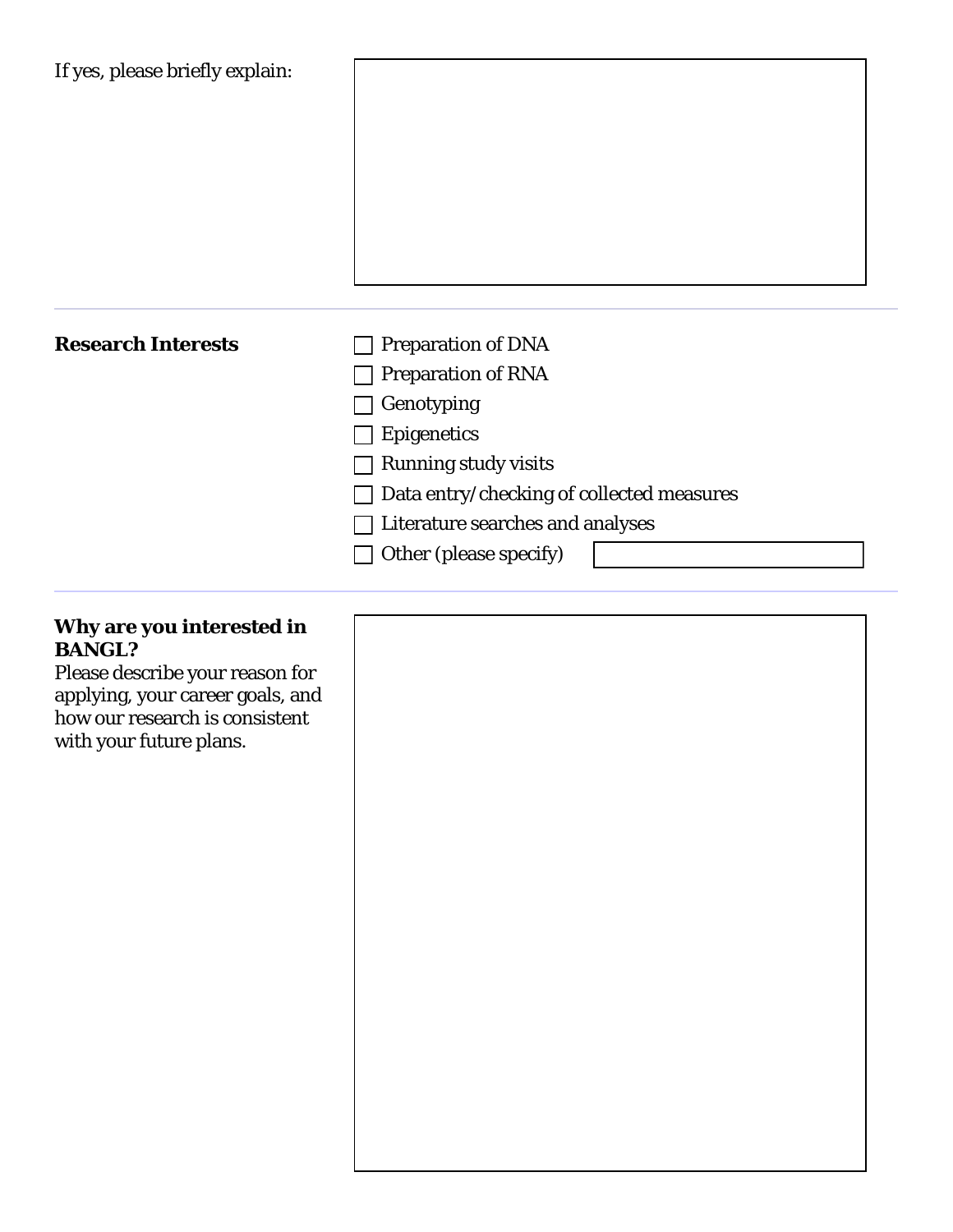| <b>Research Interests</b> | <b>Preparation of DNA</b>                 |
|---------------------------|-------------------------------------------|
|                           | <b>Preparation of RNA</b>                 |
|                           | Genotyping                                |
|                           | <b>Epigenetics</b>                        |
|                           | <b>Running study visits</b>               |
|                           | Data entry/checking of collected measures |
|                           | Literature searches and analyses          |
|                           | Other (please specify)                    |

## **Why are you interested in BANGL?**

Please describe your reason for applying, your career goals, and how our research is consistent with your future plans.